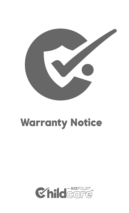

# Warranty Notice

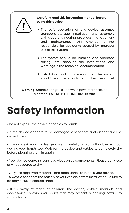

# **Safety Information**

 $\cdot$  Do not expose the device or cables to liquids.

• If the device appears to be damaged, disconnect and discontinue use immediately.

• If your device or cables gets wet, carefully unplug all cables without getting your hands wet. Wait for the device and cables to completely dry before plugging them in again.

• Your device contains sensitive electronics components. Please don't use any heat source to dry it.

• Only use approved materials and accessories to installs your device.

• Always disconnect the battery of your vehicle before installation. Failure to do may result in electric shock.

• Keep away of reach of children. The device, cables, manuals and accessories contain small parts that may present a choking hazard to small children.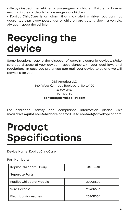• Always inspect the vehicle for passengers or children. Failure to do may result in injures or death for passengers or children.

• Kopilot ChildCare is an alarm that may alert a driver but can not guarantee that every passenger or children are getting down a vehicle. Always inspect the vehicle.

## **Recycling the device**

Some locations require the disposal of certain electronic devices. Make sure you dispose of your device in accordance with your local laws and regulations. In case you prefer you can mail your device to us and we will recycle it for you:

> DST America LLC 5401 West Kennedy Boulevard, Suite 100 33609-2457 Tampa, FL **contact@drivekopilot.com**

For additional safety and compliance information please visit **www.drivekopilot.com/childcare** or email us to **contact@drivekopilot.com**

## **Product Specifications**

#### Device Name: Kopilot ChildCare

Part Numbers:

| Kopilot Childcare Group  | 2020R501 |
|--------------------------|----------|
| <b>Separate Parts:</b>   |          |
| Kopilot Childcare Module | 2020R502 |
| <b>Wire Harness</b>      | 2020R503 |
| Electrical Accesories    | 2020R504 |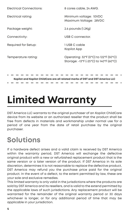Electrical Connections: Electrical rating: Package weight: Connectivity: Required for Setup: Temperature rating: 8 cores cable, 24 AWG. Minimum voltage: 10VDC Maximum Voltage: 28VDC 2.6 pounds (1.2Kg) USB C connector. 1 USB C cable Kopilot App Operating: 32\*F (0\*C) to 122\*F (50\*C) Storage: -13\*F (-25\*C) to 140\*F (60\*C)

**Kopilot and Kopilot ChildCare are all related marks of DST and DST America LLC**

# **Limited Warranty**

DST America LLC warrants to the original purchaser of an Kopilot ChildCare device from its website or an authorized reseller that the product shall be free from defects in materials and workmanship under normal use for a period of one year from the date of retail purchase by the original purchaser.

#### **Solutions**

If a hardware defect arises and a valid claim is received by DST America within the warranty period, DST America will exchange the defective original product with a new or refurbished replacement product that is the same version or a later version of the product. If DST America in its sole discretion, determines it is not reasonable to replace the defective product, DST America may refund you the purchase price paid for the original product. In the event of a defect, to the extent permitted by law, these are your sole and exclusive remedies.

This limited warranty is only valid in the jurisdictions where the products are sold by DST America and its resellers, and is valid to the extend permitted by the applicable laws of such jurisdictions. Any replacement product will be warranted for the remainder of the original warranty period or 30 days whichever is longer, or for any additional period of time that may be applicable in your jurisdiction.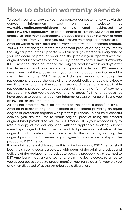#### **How to obtain warranty service**

To obtain warranty service, you must contact our customer service via the contact information listed on our website at **www.drivekopilot.com/childcare** or via email addressed to **contact@drivekopilot.com** . In its reasonable discretion, DST America may choose to ship your replacement product before receiving your original product back from you, and you must return your original product to DST America within 30 days after the delivery date of your replacement product. You will be not charged for the replacement product as long as you return the original product to us prior to or within 30 days after the delivery date of your replacement product order and the problem you reported with the original product proves to be covered by the terms of this Limited Warranty. If DST America does not receive the original product within 30 days after the delivery date of your replacement product order, or if DST America determines that the problem with your original product is not covered by the limited warranty, DST America will change the cost of shipping the replacement product, the cost of any prepaid delivery labels previously email to you, and the then-current standard price for the applicable replacement product to your credit card of the original form of payment use at the time that you placed your original order. If DST America does not have access to your prior payment information, DST America will send you an invoice for the amount due.

All original products must be returned to the address specified by DST America in either its original packaging or packaging providing an equal degree of protection together with proof of purchase. To ensure successful delivery, you are required to return original product using the prepaid original label provided to you by DST America. It is your responsibility to retain a copy of the delivery label with the applicable tracking number issued by an agent of the carrier as proof that possession that return of the original product delivery was transferred to the carrier. By sending the original product to DST America, you agree to transfer ownership of the product to DST America.

If your claimed is valid based on this limited warranty, DST America shall bear the shipping costs associated with return of the original product and delivery of the replacement product to you. Any product that is returned to DST America without a valid warranty claim maybe rejected, returned to you at your cost (subject to prepayment) or kept for 30 days for your pick up and then disposed of at DST America's sole discretion.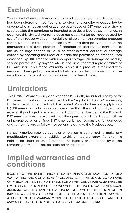#### **Exclusions**

This Limited Warranty does not apply to a Product or part of a Product that has been altered or modified (e.g., to alter functionality or capability) by anyone who is not an authorized representative of DST America or that is used outside the permitted or intended uses described by DST America. In addition, this Limited Warranty does not apply to: (a) damage caused by use of the Product with commercially available non-DST America products that have been altered or modified by you or a third party other than the manufacturer of such product; (b) damage caused by accident, abuse, misuse, spillage of food or liquid or other external causes; (c) damage caused by operating the Product outside the permitted or intended uses described by DST America with improper voltage; (d) damage caused by service performed by anyone who is not an authorized representative of DST America. This Limited Warranty is void if a product is returned with removed, damaged or tampered labels or any alterations (including the unauthorized removal of any component or external cover).

### **Limitations**

This Limited Warranty only applies to the Product(s) manufactured by or for DST America that can be identified by the "Kopilot ChildCare" trademark, trade name or logo affixed to it. The Limited Warranty does not apply to any (a) DST America products and services other than the Product or (b) software, even if packaged or sold with the Product or embedded in the Product. DST America does not warrant that the operations of the Product will be uninterrupted or error-free. DST America is not responsible for damages arising from failure to follow instructions relating to the Product's use.

No DST America reseller, agent or employee is authorized to make any modification, extension or addition to this Limited Warranty. If any term is held to be illegal or unenforceable, the legality or enforceability of the remaining terms shall not be affected or impaired.

#### **Implied warranties and conditions**

EXCEPT TO THE EXTENT PROHIBITED BY APPLICABLE LAW, ALL IMPLIED WARRANTIES AND CONDITIONS (INCLUDING WARRANTIES AND CONDITIONS OF MERCHANTABILITY AND FITNESS FOR A PARTICULAR PURPOSE) SHALL BE LIMITED IN DURATION TO THE DURATION OF THIS LIMITED WARRANTY. SOME JURISDICTIONS DO NOT ALLOW LIMITATIONS ON THE DURATION OF AN IMPLIED WARRANTY OR CONDITION, SO THE ABOVE LIMITATION MAY NOT APPLY TO YOU. THIS WARRANTY GIVES YOU SPECIFIC LEGAL RIGHTS, AND YOU MAY ALSO HAVE OTHER RIGHTS THAT VARY FROM STATE TO STATE.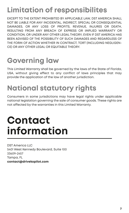#### **Limitation of responsibilites**

EXCEPT TO THE EXTENT PROHIBITED BY APPLICABLE LAW, DST AMERICA SHALL NOT BE LIABLE FOR ANY INCIDENTAL, INDIRECT, SPECIAL OR CONSEQUENTIAL DAMAGES, OR ANY LOSS OF PROFITS, REVENUE, INJURES OR DEATH, RESULTING FROM ANY BREACH OF EXPRESS OR IMPLIED WARRANTY OR CONDITION, OR UNDER ANY OTHER LEGAL THEORY, EVEN IF DST AMERICA HAS BEEN ADVISED OF THE POSSIBILITY OF SUCH DAMAGES AND REGARDLESS OF THE FORM OF ACTION WHETHER IN CONTRACT, TORT (INCLUDING NEGLIGEN-CE) OR ANY OTHER LEGAL OR EQUITABLE THEORY.

#### **Governing law**

This Limited Warranty shall be governed by the laws of the State of Florida, USA, without giving effect to any conflict of laws principles that may provide the application of the law of another jurisdiction.

#### **National statutory rights**

Consumers in some jurisdictions may have legal rights under applicable national legislation governing the sale of consumer goods. These rights are not affected by the warranties in this Limited Warranty.

## **Contact information**

DST America LLC 5401 West Kennedy Boulevard, Suite 100 33609-2457 Tampa, FL **contact@drivekopilot.com**